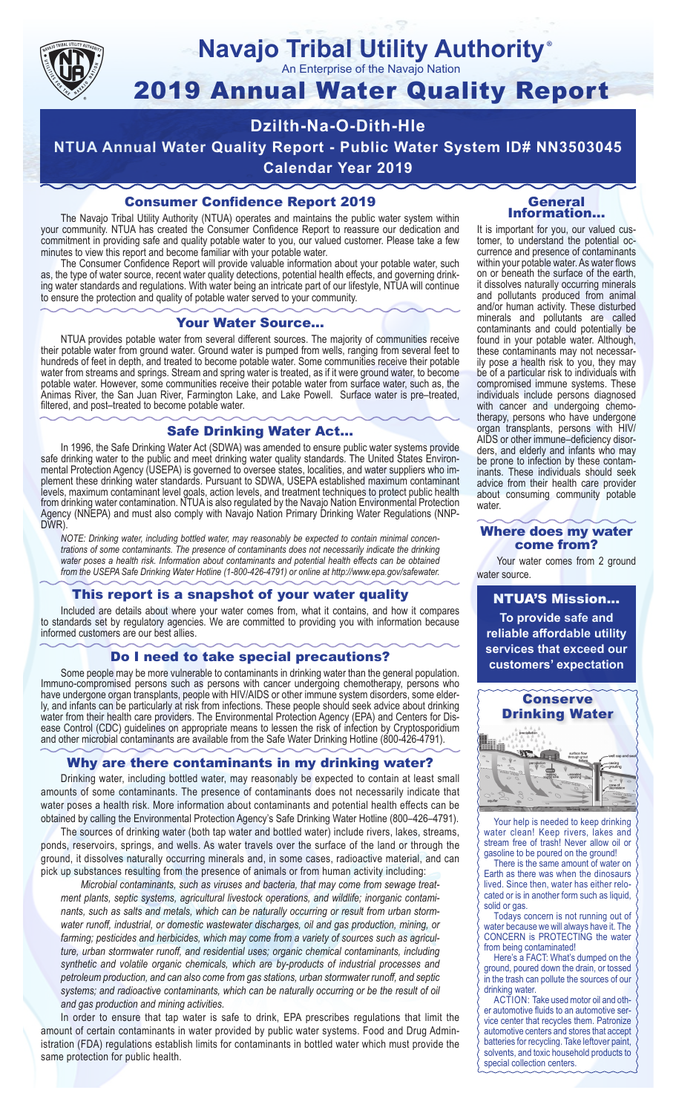

#### **Navajo Tribal Utility Authority** ®

An Enterprise of the Navajo Nation

# 2019 Annual Water Quality Report

# **Dzilth-Na-O-Dith-Hle**

**NTUA Annual Water Quality Report - Public Water System ID# NN3503045 Calendar Year 2019**

## Consumer Confidence Report 2019

The Navajo Tribal Utility Authority (NTUA) operates and maintains the public water system within your community. NTUA has created the Consumer Confidence Report to reassure our dedication and commitment in providing safe and quality potable water to you, our valued customer. Please take a few minutes to view this report and become familiar with your potable water.

The Consumer Confidence Report will provide valuable information about your potable water, such as, the type of water source, recent water quality detections, potential health effects, and governing drinking water standards and regulations. With water being an intricate part of our lifestyle, NTUA will continue to ensure the protection and quality of potable water served to your community.

#### Your Water Source…

NTUA provides potable water from several different sources. The majority of communities receive their potable water from ground water. Ground water is pumped from wells, ranging from several feet to hundreds of feet in depth, and treated to become potable water. Some communities receive their potable water from streams and springs. Stream and spring water is treated, as if it were ground water, to become potable water. However, some communities receive their potable water from surface water, such as, the Animas River, the San Juan River, Farmington Lake, and Lake Powell. Surface water is pre–treated, filtered, and post–treated to become potable water.

#### Safe Drinking Water Act…

In 1996, the Safe Drinking Water Act (SDWA) was amended to ensure public water systems provide safe drinking water to the public and meet drinking water quality standards. The United States Environmental Protection Agency (USEPA) is governed to oversee states, localities, and water suppliers who implement these drinking water standards. Pursuant to SDWA, USEPA established maximum contaminant levels, maximum contaminant level goals, action levels, and treatment techniques to protect public health from drinking water contamination. NTUA is also regulated by the Navajo Nation Environmental Protection Agency (NNEPA) and must also comply with Navajo Nation Primary Drinking Water Regulations (NNP-DWR)

*NOTE: Drinking water, including bottled water, may reasonably be expected to contain minimal concentrations of some contaminants. The presence of contaminants does not necessarily indicate the drinking water poses a health risk. Information about contaminants and potential health effects can be obtained from the USEPA Safe Drinking Water Hotline (1-800-426-4791) or online at http://www.epa.gov/safewater.*

#### This report is a snapshot of your water quality

Included are details about where your water comes from, what it contains, and how it compares to standards set by regulatory agencies. We are committed to providing you with information because informed customers are our best allies.

#### Do I need to take special precautions?

Some people may be more vulnerable to contaminants in drinking water than the general population. Immuno-compromised persons such as persons with cancer undergoing chemotherapy, persons who have undergone organ transplants, people with HIV/AIDS or other immune system disorders, some elderly, and infants can be particularly at risk from infections. These people should seek advice about drinking water from their health care providers. The Environmental Protection Agency (EPA) and Centers for Disease Control (CDC) guidelines on appropriate means to lessen the risk of infection by Cryptosporidium and other microbial contaminants are available from the Safe Water Drinking Hotline (800-426-4791).

#### Why are there contaminants in my drinking water?

Drinking water, including bottled water, may reasonably be expected to contain at least small amounts of some contaminants. The presence of contaminants does not necessarily indicate that water poses a health risk. More information about contaminants and potential health effects can be obtained by calling the Environmental Protection Agency's Safe Drinking Water Hotline (800–426–4791).

The sources of drinking water (both tap water and bottled water) include rivers, lakes, streams, ponds, reservoirs, springs, and wells. As water travels over the surface of the land or through the ground, it dissolves naturally occurring minerals and, in some cases, radioactive material, and can pick up substances resulting from the presence of animals or from human activity including:

*Microbial contaminants, such as viruses and bacteria, that may come from sewage treatment plants, septic systems, agricultural livestock operations, and wildlife; inorganic contaminants, such as salts and metals, which can be naturally occurring or result from urban stormwater runoff, industrial, or domestic wastewater discharges, oil and gas production, mining, or farming; pesticides and herbicides, which may come from a variety of sources such as agriculture, urban stormwater runoff, and residential uses; organic chemical contaminants, including synthetic and volatile organic chemicals, which are by-products of industrial processes and petroleum production, and can also come from gas stations, urban stormwater runoff, and septic systems; and radioactive contaminants, which can be naturally occurring or be the result of oil and gas production and mining activities.*

In order to ensure that tap water is safe to drink, EPA prescribes regulations that limit the amount of certain contaminants in water provided by public water systems. Food and Drug Administration (FDA) regulations establish limits for contaminants in bottled water which must provide the same protection for public health.

#### General Information…

It is important for you, our valued customer, to understand the potential occurrence and presence of contaminants within your potable water. As water flows on or beneath the surface of the earth, it dissolves naturally occurring minerals and pollutants produced from animal and/or human activity. These disturbed minerals and pollutants are called contaminants and could potentially be found in your potable water. Although, these contaminants may not necessarily pose a health risk to you, they may be of a particular risk to individuals with compromised immune systems. These individuals include persons diagnosed with cancer and undergoing chemo-<br>therapy, persons who have undergone organ transplants, persons with HIV/ AIDS or other immune–deficiency disor- ders, and elderly and infants who may be prone to infection by these contam- inants. These individuals should seek advice from their health care provider about consuming community potable water.

#### Where does my water come from?

Your water comes from 2 ground water source.

NTUA'S Mission... **To provide safe and reliable affordable utility services that exceed our customers' expectation**



Your help is needed to keep drinking water clean! Keep rivers, lakes and stream free of trash! Never allow oil or gasoline to be poured on the ground!

There is the same amount of water on Earth as there was when the dinosaurs lived. Since then, water has either relocated or is in another form such as liquid, solid or gas.

Todays concern is not running out of water because we will always have it. The CONCERN is PROTECTING the water from being contaminated!

Here's a FACT: What's dumped on the ground, poured down the drain, or tossed in the trash can pollute the sources of our drinking water.

ACTION: Take used motor oil and other automotive fluids to an automotive service center that recycles them. Patronize automotive centers and stores that accept batteries for recycling. Take leftover paint, solvents, and toxic household products to special collection centers.